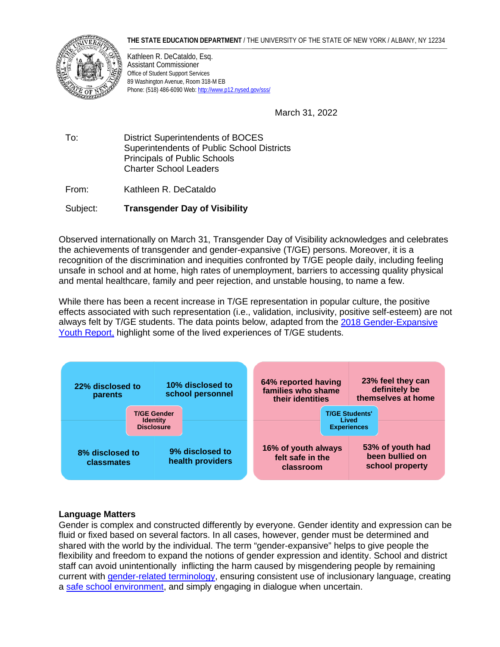**THE STATE EDUCATION DEPARTMENT** / THE UNIVERSITY OF THE STATE OF NEW YORK / ALBANY, NY 12234



 Kathleen R. DeCataldo, Esq. Assistant Commissioner Office of Student Support Services 89 Washington Avenue, Room 318-M EB Phone: (518) 486-6090 Web[: http://www.p12.nysed.gov/sss/](http://www.p12.nysed.gov/sss/) 

March 31, 2022

 To: District Superintendents of BOCES Principals of Public Schools Superintendents of Public School Districts Charter School Leaders

From: Kathleen R. DeCataldo

Subject: **Transgender Day of Visibility** 

 recognition of the discrimination and inequities confronted by T/GE people daily, including feeling Observed internationally on March 31, Transgender Day of Visibility acknowledges and celebrates the achievements of transgender and gender-expansive (T/GE) persons. Moreover, it is a unsafe in school and at home, high rates of unemployment, barriers to accessing quality physical and mental healthcare, family and peer rejection, and unstable housing, to name a few.

 While there has been a recent increase in T/GE representation in popular culture, the positive effects associated with such representation (i.e., validation, inclusivity, positive self-esteem) are not always felt by T/GE students. The data points below, adapted from the 2018 Gender-Expansive [Youth Report,](https://assets2.hrc.org/files/assets/resources/GEreport1.pdf) highlight some of the lived experiences of T/GE students.



# **Language Matters**

 shared with the world by the individual. The term "gender-expansive" helps to give people the Gender is complex and constructed differently by everyone. Gender identity and expression can be fluid or fixed based on several factors. In all cases, however, gender must be determined and flexibility and freedom to expand the notions of gender expression and identity. School and district staff can avoid unintentionally inflicting the harm caused by misgendering people by remaining current with [gender-related terminology,](https://www.npr.org/2021/06/02/996319297/gender-identity-pronouns-expression-guide-lgbtq) ensuring consistent use of inclusionary language, creating a [safe school environment,](https://www.glsen.org/sites/default/files/2019-11/GLSEN%20English%20SafeSpace%20Book%20Text%20Updated%202019.pdf) and simply engaging in dialogue when uncertain.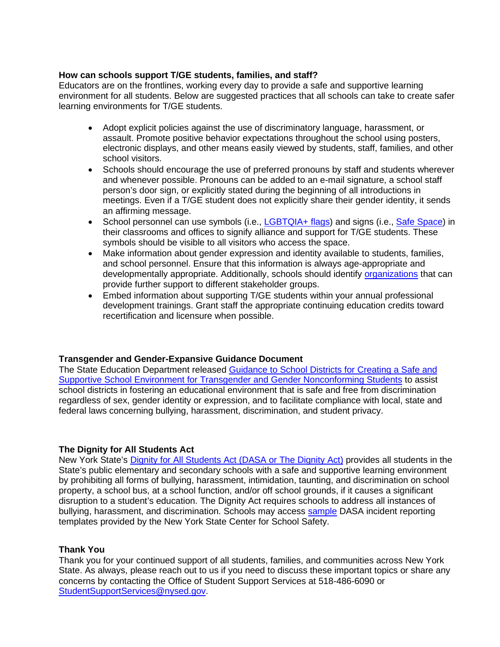### **How can schools support T/GE students, families, and staff?**

Educators are on the frontlines, working every day to provide a safe and supportive learning environment for all students. Below are suggested practices that all schools can take to create safer learning environments for T/GE students.

- school visitors. • Adopt explicit policies against the use of discriminatory language, harassment, or assault. Promote positive behavior expectations throughout the school using posters, electronic displays, and other means easily viewed by students, staff, families, and other
- meetings. Even if a T/GE student does not explicitly share their gender identity, it sends • Schools should encourage the use of preferred pronouns by staff and students wherever and whenever possible. Pronouns can be added to an e-mail signature, a school staff person's door sign, or explicitly stated during the beginning of all introductions in an affirming message.
- School personnel can use symbols (i.e., [LGBTQIA+ flags\)](https://cadehildreth.com/pride-flags/) and signs (i.e., [Safe Space\)](https://www.glsen.org/activity/glsen-safe-space-kit-solidarity-lgbtq-youth) in their classrooms and offices to signify alliance and support for T/GE students. These symbols should be visible to all visitors who access the space.
- provide further support to different stakeholder groups. • Make information about gender expression and identity available to students, families, and school personnel. Ensure that this information is always age-appropriate and developmentally appropriate. Additionally, schools should identify [organizations](https://www.cdc.gov/lgbthealth/youth-resources.htm) that can
- • Embed information about supporting T/GE students within your annual professional development trainings. Grant staff the appropriate continuing education credits toward recertification and licensure when possible.

### **Transgender and Gender-Expansive Guidance Document**

The State Education Department released [Guidance to School Districts for Creating a Safe and](https://www.p12.nysed.gov/dignityact/documents/Transg_GNCGuidanceFINAL.pdf)  [Supportive School Environment for Transgender and Gender Nonconforming Students](https://www.p12.nysed.gov/dignityact/documents/Transg_GNCGuidanceFINAL.pdf) to assist school districts in fostering an educational environment that is safe and free from discrimination regardless of sex, gender identity or expression, and to facilitate compliance with local, state and federal laws concerning bullying, harassment, discrimination, and student privacy.

### **The Dignity for All Students Act**

New York State's [Dignity for All Students Act \(DASA or The Dignity Act\)](https://www.nysenate.gov/legislation/laws/EDN/A2) provides all students in the State's public elementary and secondary schools with a safe and supportive learning environment by prohibiting all forms of bullying, harassment, intimidation, taunting, and discrimination on school property, a school bus, at a school function, and/or off school grounds, if it causes a significant disruption to a student's education. The Dignity Act requires schools to address all instances of bullying, harassment, and discrimination. Schools may access [sample](https://www.nyscfss.org/_files/ugd/10c789_56ccdc6e45f14d44b0fec8a35f2b3c73.pdf) DASA incident reporting templates provided by the New York State Center for School Safety.

### **Thank You**

Thank you for your continued support of all students, families, and communities across New York State. As always, please reach out to us if you need to discuss these important topics or share any concerns by contacting the Office of Student Support Services at 518-486-6090 or [StudentSupportServices@nysed.gov.](mailto:StudentSupportServices@nysed.gov)